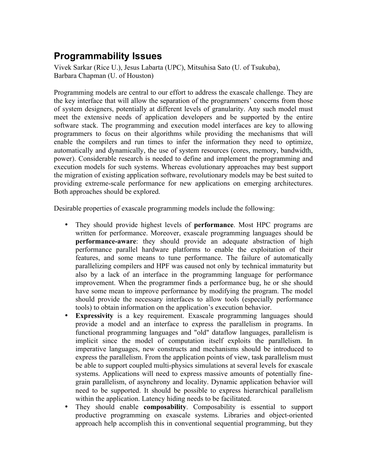## **Programmability Issues**

Vivek Sarkar (Rice U.), Jesus Labarta (UPC), Mitsuhisa Sato (U. of Tsukuba), Barbara Chapman (U. of Houston)

Programming models are central to our effort to address the exascale challenge. They are the key interface that will allow the separation of the programmers' concerns from those of system designers, potentially at different levels of granularity. Any such model must meet the extensive needs of application developers and be supported by the entire software stack. The programming and execution model interfaces are key to allowing programmers to focus on their algorithms while providing the mechanisms that will enable the compilers and run times to infer the information they need to optimize, automatically and dynamically, the use of system resources (cores, memory, bandwidth, power). Considerable research is needed to define and implement the programming and execution models for such systems. Whereas evolutionary approaches may best support the migration of existing application software, revolutionary models may be best suited to providing extreme-scale performance for new applications on emerging architectures. Both approaches should be explored.

Desirable properties of exascale programming models include the following:

- They should provide highest levels of **performance**. Most HPC programs are written for performance. Moreover, exascale programming languages should be **performance-aware**: they should provide an adequate abstraction of high performance parallel hardware platforms to enable the exploitation of their features, and some means to tune performance. The failure of automatically parallelizing compilers and HPF was caused not only by technical immaturity but also by a lack of an interface in the programming language for performance improvement. When the programmer finds a performance bug, he or she should have some mean to improve performance by modifying the program. The model should provide the necessary interfaces to allow tools (especially performance tools) to obtain information on the application's execution behavior.
- **Expressivity** is a key requirement. Exascale programming languages should provide a model and an interface to express the parallelism in programs. In functional programming languages and "old" dataflow languages, parallelism is implicit since the model of computation itself exploits the parallelism. In imperative languages, new constructs and mechanisms should be introduced to express the parallelism. From the application points of view, task parallelism must be able to support coupled multi-physics simulations at several levels for exascale systems. Applications will need to express massive amounts of potentially finegrain parallelism, of asynchrony and locality. Dynamic application behavior will need to be supported. It should be possible to express hierarchical parallelism within the application. Latency hiding needs to be facilitated.
- They should enable **composability**. Composability is essential to support productive programming on exascale systems. Libraries and object-oriented approach help accomplish this in conventional sequential programming, but they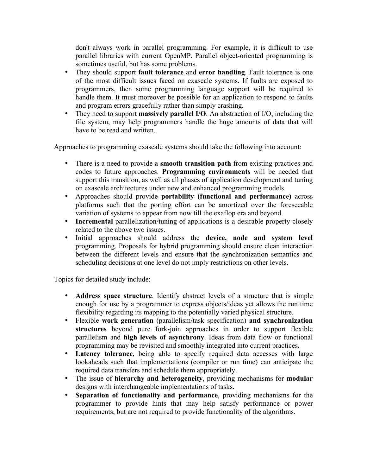don't always work in parallel programming. For example, it is difficult to use parallel libraries with current OpenMP. Parallel object-oriented programming is sometimes useful, but has some problems.

- They should support **fault tolerance** and **error handling**. Fault tolerance is one of the most difficult issues faced on exascale systems. If faults are exposed to programmers, then some programming language support will be required to handle them. It must moreover be possible for an application to respond to faults and program errors gracefully rather than simply crashing.
- They need to support **massively parallel I/O**. An abstraction of I/O, including the file system, may help programmers handle the huge amounts of data that will have to be read and written.

Approaches to programming exascale systems should take the following into account:

- There is a need to provide a **smooth transition path** from existing practices and codes to future approaches. **Programming environments** will be needed that support this transition, as well as all phases of application development and tuning on exascale architectures under new and enhanced programming models.
- Approaches should provide **portability (functional and performance)** across platforms such that the porting effort can be amortized over the foreseeable variation of systems to appear from now till the exaflop era and beyond.
- **Incremental** parallelization/tuning of applications is a desirable property closely related to the above two issues.
- Initial approaches should address the **device, node and system level** programming. Proposals for hybrid programming should ensure clean interaction between the different levels and ensure that the synchronization semantics and scheduling decisions at one level do not imply restrictions on other levels.

Topics for detailed study include:

- **Address space structure**. Identify abstract levels of a structure that is simple enough for use by a programmer to express objects/ideas yet allows the run time flexibility regarding its mapping to the potentially varied physical structure.
- Flexible **work generation** (parallelism/task specification) **and synchronization structures** beyond pure fork-join approaches in order to support flexible parallelism and **high levels of asynchrony**. Ideas from data flow or functional programming may be revisited and smoothly integrated into current practices.
- **Latency tolerance**, being able to specify required data accesses with large lookaheads such that implementations (compiler or run time) can anticipate the required data transfers and schedule them appropriately.
- The issue of **hierarchy and heterogeneity**, providing mechanisms for **modular** designs with interchangeable implementations of tasks.
- **Separation of functionality and performance**, providing mechanisms for the programmer to provide hints that may help satisfy performance or power requirements, but are not required to provide functionality of the algorithms.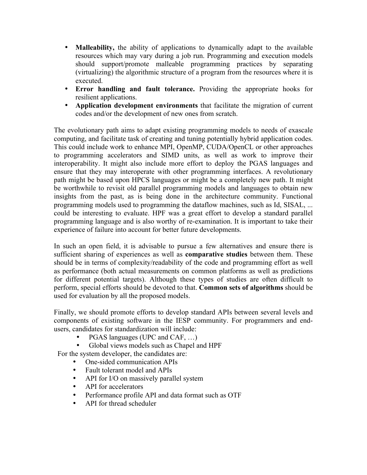- **Malleability,** the ability of applications to dynamically adapt to the available resources which may vary during a job run. Programming and execution models should support/promote malleable programming practices by separating (virtualizing) the algorithmic structure of a program from the resources where it is executed.
- **Error handling and fault tolerance.** Providing the appropriate hooks for resilient applications.
- **Application development environments** that facilitate the migration of current codes and/or the development of new ones from scratch.

The evolutionary path aims to adapt existing programming models to needs of exascale computing, and facilitate task of creating and tuning potentially hybrid application codes. This could include work to enhance MPI, OpenMP, CUDA/OpenCL or other approaches to programming accelerators and SIMD units, as well as work to improve their interoperability. It might also include more effort to deploy the PGAS languages and ensure that they may interoperate with other programming interfaces. A revolutionary path might be based upon HPCS languages or might be a completely new path. It might be worthwhile to revisit old parallel programming models and languages to obtain new insights from the past, as is being done in the architecture community. Functional programming models used to programming the dataflow machines, such as Id, SISAL, ... could be interesting to evaluate. HPF was a great effort to develop a standard parallel programming language and is also worthy of re-examination. It is important to take their experience of failure into account for better future developments.

In such an open field, it is advisable to pursue a few alternatives and ensure there is sufficient sharing of experiences as well as **comparative studies** between them. These should be in terms of complexity/readability of the code and programming effort as well as performance (both actual measurements on common platforms as well as predictions for different potential targets). Although these types of studies are often difficult to perform, special efforts should be devoted to that. **Common sets of algorithms** should be used for evaluation by all the proposed models.

Finally, we should promote efforts to develop standard APIs between several levels and components of existing software in the IESP community. For programmers and endusers, candidates for standardization will include:

- PGAS languages (UPC and CAF, ...)<br>• Global views models such as Chanel a
- Global views models such as Chapel and HPF

For the system developer, the candidates are:

- One-sided communication APIs
- Fault tolerant model and APIs
- API for I/O on massively parallel system
- API for accelerators
- Performance profile API and data format such as OTF
- API for thread scheduler